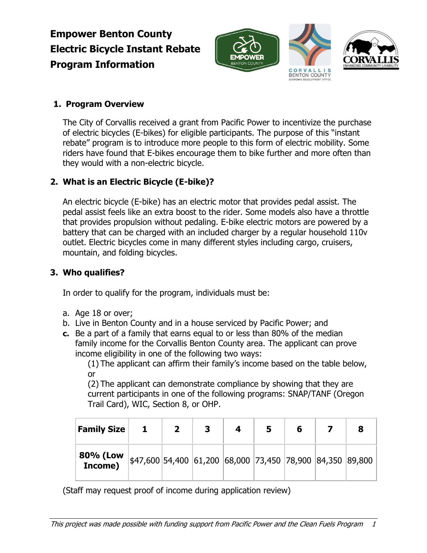# **Empower Benton County Electric Bicycle Instant Rebate Program Information**





## **1. Program Overview**

The City of Corvallis received a grant from Pacific Power to incentivize the purchase of electric bicycles (E-bikes) for eligible participants. The purpose of this "instant rebate" program is to introduce more people to this form of electric mobility. Some riders have found that E-bikes encourage them to bike further and more often than they would with a non-electric bicycle.

# **2. What is an Electric Bicycle (E-bike)?**

An electric bicycle (E-bike) has an electric motor that provides pedal assist. The pedal assist feels like an extra boost to the rider. Some models also have a throttle that provides propulsion without pedaling. E-bike electric motors are powered by a battery that can be charged with an included charger by a regular household 110v outlet. Electric bicycles come in many different styles including cargo, cruisers, mountain, and folding bicycles.

## **3. Who qualifies?**

In order to qualify for the program, individuals must be:

- a. Age 18 or over;
- b. Live in Benton County and in a house serviced by Pacific Power; and
- **c.** Be a part of a family that earns equal to or less than 80% of the median family income for the Corvallis Benton County area. The applicant can prove income eligibility in one of the following two ways:

(1) The applicant can affirm their family's income based on the table below, or

(2) The applicant can demonstrate compliance by showing that they are current participants in one of the following programs: SNAP/TANF (Oregon Trail Card), WIC, Section 8, or OHP.

| <b>Family Size</b>  |                                                             | $\mathbf{2}$ | 3 | 4 | 6 | 8 |
|---------------------|-------------------------------------------------------------|--------------|---|---|---|---|
| 80% (Low<br>Income) | $ $47,600 54,400 61,200 68,000 73,450 78,900 84,350 89,800$ |              |   |   |   |   |

(Staff may request proof of income during application review)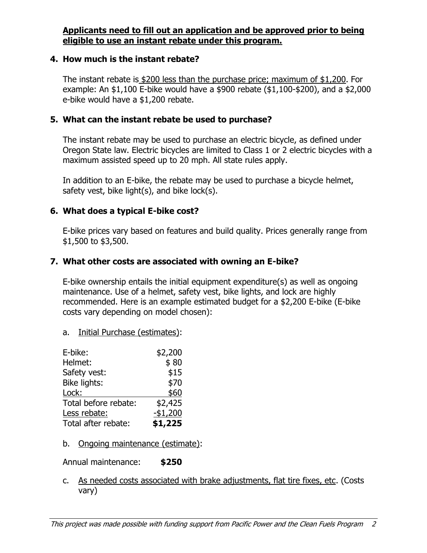#### **Applicants need to fill out an application and be approved prior to being eligible to use an instant rebate under this program.**

#### **4. How much is the instant rebate?**

The instant rebate is \$200 less than the purchase price; maximum of \$1,200. For example: An \$1,100 E-bike would have a \$900 rebate (\$1,100-\$200), and a \$2,000 e-bike would have a \$1,200 rebate.

#### **5. What can the instant rebate be used to purchase?**

The instant rebate may be used to purchase an electric bicycle, as defined under Oregon State law. Electric bicycles are limited to Class 1 or 2 electric bicycles with a maximum assisted speed up to 20 mph. All state rules apply.

In addition to an E-bike, the rebate may be used to purchase a bicycle helmet, safety vest, bike light(s), and bike lock(s).

#### **6. What does a typical E-bike cost?**

E-bike prices vary based on features and build quality. Prices generally range from \$1,500 to \$3,500.

#### **7. What other costs are associated with owning an E-bike?**

E-bike ownership entails the initial equipment expenditure(s) as well as ongoing maintenance. Use of a helmet, safety vest, bike lights, and lock are highly recommended. Here is an example estimated budget for a \$2,200 E-bike (E-bike costs vary depending on model chosen):

a. Initial Purchase (estimates):

| E-bike:              | \$2,200   |
|----------------------|-----------|
| Helmet:              | \$80      |
| Safety vest:         | \$15      |
| Bike lights:         | \$70      |
| Lock:                | \$60      |
| Total before rebate: | \$2,425   |
| Less rebate:         | $-$1,200$ |
| Total after rebate:  | \$1,225   |

b. Ongoing maintenance (estimate):

Annual maintenance: **\$250**

c. As needed costs associated with brake adjustments, flat tire fixes, etc. (Costs vary)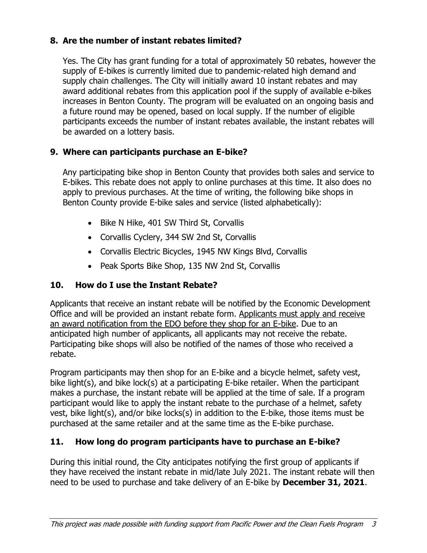### **8. Are the number of instant rebates limited?**

Yes. The City has grant funding for a total of approximately 50 rebates, however the supply of E-bikes is currently limited due to pandemic-related high demand and supply chain challenges. The City will initially award 10 instant rebates and may award additional rebates from this application pool if the supply of available e-bikes increases in Benton County. The program will be evaluated on an ongoing basis and a future round may be opened, based on local supply. If the number of eligible participants exceeds the number of instant rebates available, the instant rebates will be awarded on a lottery basis.

### **9. Where can participants purchase an E-bike?**

Any participating bike shop in Benton County that provides both sales and service to E-bikes. This rebate does not apply to online purchases at this time. It also does no apply to previous purchases. At the time of writing, the following bike shops in Benton County provide E-bike sales and service (listed alphabetically):

- Bike N Hike, 401 SW Third St, Corvallis
- Corvallis Cyclery, 344 SW 2nd St, Corvallis
- Corvallis Electric Bicycles, 1945 NW Kings Blvd, Corvallis
- Peak Sports Bike Shop, 135 NW 2nd St, Corvallis

## **10. How do I use the Instant Rebate?**

Applicants that receive an instant rebate will be notified by the Economic Development Office and will be provided an instant rebate form. Applicants must apply and receive an award notification from the EDO before they shop for an E-bike. Due to an anticipated high number of applicants, all applicants may not receive the rebate. Participating bike shops will also be notified of the names of those who received a rebate.

Program participants may then shop for an E-bike and a bicycle helmet, safety vest, bike light(s), and bike lock(s) at a participating E-bike retailer. When the participant makes a purchase, the instant rebate will be applied at the time of sale. If a program participant would like to apply the instant rebate to the purchase of a helmet, safety vest, bike light(s), and/or bike locks(s) in addition to the E-bike, those items must be purchased at the same retailer and at the same time as the E-bike purchase.

## **11. How long do program participants have to purchase an E-bike?**

During this initial round, the City anticipates notifying the first group of applicants if they have received the instant rebate in mid/late July 2021. The instant rebate will then need to be used to purchase and take delivery of an E-bike by **December 31, 2021**.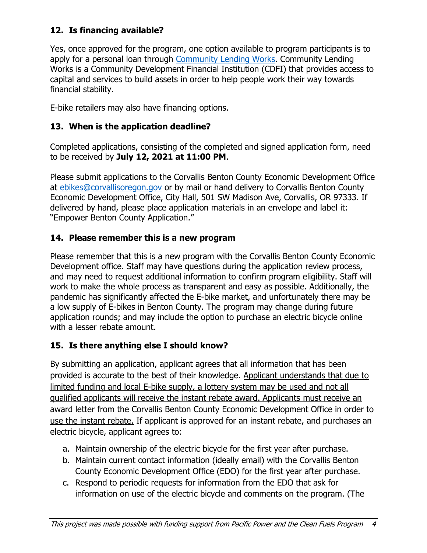## **12. Is financing available?**

Yes, once approved for the program, one option available to program participants is to apply for a personal loan through [Community Lending Works.](https://communitylendingworks.org/clw-consumer-loans/) Community Lending Works is a Community Development Financial Institution (CDFI) that provides access to capital and services to build assets in order to help people work their way towards financial stability.

E-bike retailers may also have financing options.

## **13. When is the application deadline?**

Completed applications, consisting of the completed and signed application form, need to be received by **July 12, 2021 at 11:00 PM**.

Please submit applications to the Corvallis Benton County Economic Development Office at [ebikes@corvallisoregon.gov](mailto:ebikes@corvallisoregon.gov) or by mail or hand delivery to Corvallis Benton County Economic Development Office, City Hall, 501 SW Madison Ave, Corvallis, OR 97333. If delivered by hand, please place application materials in an envelope and label it: "Empower Benton County Application."

## **14. Please remember this is a new program**

Please remember that this is a new program with the Corvallis Benton County Economic Development office. Staff may have questions during the application review process, and may need to request additional information to confirm program eligibility. Staff will work to make the whole process as transparent and easy as possible. Additionally, the pandemic has significantly affected the E-bike market, and unfortunately there may be a low supply of E-bikes in Benton County. The program may change during future application rounds; and may include the option to purchase an electric bicycle online with a lesser rebate amount.

# **15. Is there anything else I should know?**

By submitting an application, applicant agrees that all information that has been provided is accurate to the best of their knowledge. Applicant understands that due to limited funding and local E-bike supply, a lottery system may be used and not all qualified applicants will receive the instant rebate award. Applicants must receive an award letter from the Corvallis Benton County Economic Development Office in order to use the instant rebate. If applicant is approved for an instant rebate, and purchases an electric bicycle, applicant agrees to:

- a. Maintain ownership of the electric bicycle for the first year after purchase.
- b. Maintain current contact information (ideally email) with the Corvallis Benton County Economic Development Office (EDO) for the first year after purchase.
- c. Respond to periodic requests for information from the EDO that ask for information on use of the electric bicycle and comments on the program. (The